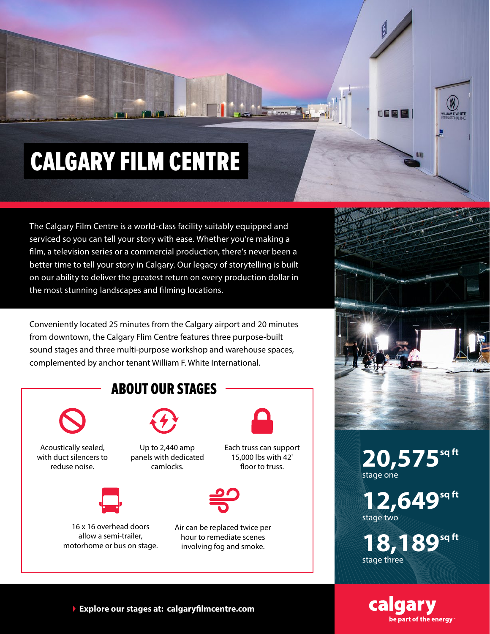## CALGARY FILM CENTRE

The Calgary Film Centre is a world-class facility suitably equipped and serviced so you can tell your story with ease. Whether you're making a film, a television series or a commercial production, there's never been a better time to tell your story in Calgary. Our legacy of storytelling is built on our ability to deliver the greatest return on every production dollar in the most stunning landscapes and filming locations.

Conveniently located 25 minutes from the Calgary airport and 20 minutes from downtown, the Calgary Flim Centre features three purpose-built sound stages and three multi-purpose workshop and warehouse spaces, complemented by anchor tenant William F. White International.





旧图图

**20,575** stage one

12,649<sup>sq ft</sup> stage two

**18,189sq ft** stage three



**Explore our stages at: calgaryfilmcentre.com**